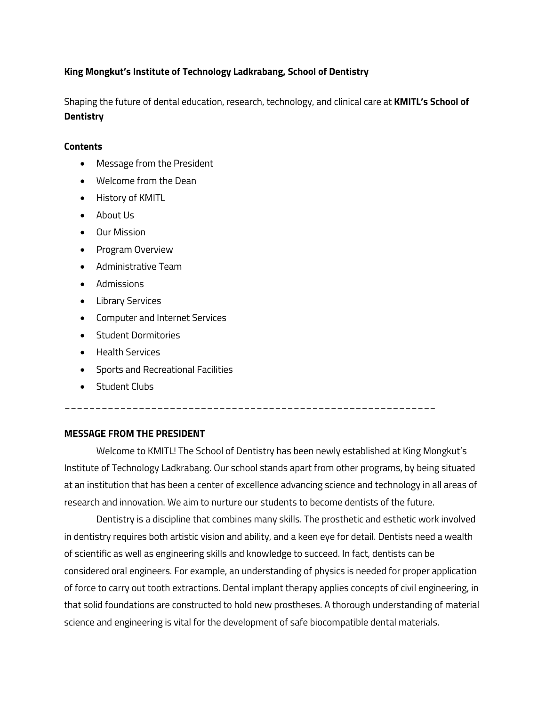### **King Mongkut's Institute of Technology Ladkrabang, School of Dentistry**

Shaping the future of dental education, research, technology, and clinical care at **KMITL's School of Dentistry**

### **Contents**

- Message from the President
- Welcome from the Dean
- History of KMITL
- About Us
- Our Mission
- Program Overview
- Administrative Team
- Admissions
- Library Services
- Computer and Internet Services
- Student Dormitories
- Health Services
- Sports and Recreational Facilities
- Student Clubs

# \_\_\_\_\_\_\_\_\_\_\_\_\_\_\_\_\_\_\_\_\_\_\_\_\_\_\_\_\_\_\_\_\_\_\_\_\_\_\_\_\_\_\_\_\_\_\_\_\_\_\_\_\_\_\_\_\_\_\_\_

### **MESSAGE FROM THE PRESIDENT**

Welcome to KMITL! The School of Dentistry has been newly established at King Mongkut's Institute of Technology Ladkrabang. Our school stands apart from other programs, by being situated at an institution that has been a center of excellence advancing science and technology in all areas of research and innovation. We aim to nurture our students to become dentists of the future.

Dentistry is a discipline that combines many skills. The prosthetic and esthetic work involved in dentistry requires both artistic vision and ability, and a keen eye for detail. Dentists need a wealth of scientific as well as engineering skills and knowledge to succeed. In fact, dentists can be considered oral engineers. For example, an understanding of physics is needed for proper application of force to carry out tooth extractions. Dental implant therapy applies concepts of civil engineering, in that solid foundations are constructed to hold new prostheses. A thorough understanding of material science and engineering is vital for the development of safe biocompatible dental materials.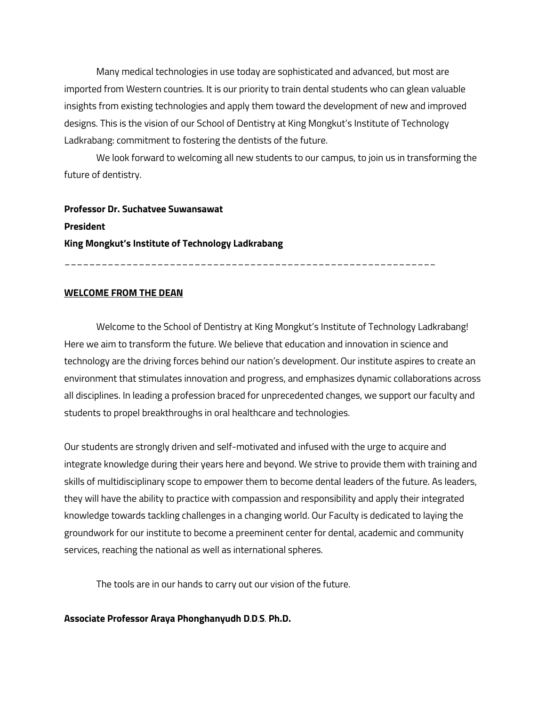Many medical technologies in use today are sophisticated and advanced, but most are imported from Western countries. It is our priority to train dental students who can glean valuable insights from existing technologies and apply them toward the development of new and improved designs. This is the vision of our School of Dentistry at King Mongkut's Institute of Technology Ladkrabang: commitment to fostering the dentists of the future.

We look forward to welcoming all new students to our campus, to join us in transforming the future of dentistry.

**Professor Dr. Suchatvee Suwansawat President King Mongkut's Institute of Technology Ladkrabang**

\_\_\_\_\_\_\_\_\_\_\_\_\_\_\_\_\_\_\_\_\_\_\_\_\_\_\_\_\_\_\_\_\_\_\_\_\_\_\_\_\_\_\_\_\_\_\_\_\_\_\_\_\_\_\_\_\_\_\_\_

#### **WELCOME FROM THE DEAN**

Welcome to the School of Dentistry at King Mongkut's Institute of Technology Ladkrabang! Here we aim to transform the future. We believe that education and innovation in science and technology are the driving forces behind our nation's development. Our institute aspires to create an environment that stimulates innovation and progress, and emphasizes dynamic collaborations across all disciplines. In leading a profession braced for unprecedented changes, we support our faculty and students to propel breakthroughs in oral healthcare and technologies.

Our students are strongly driven and self-motivated and infused with the urge to acquire and integrate knowledge during their years here and beyond. We strive to provide them with training and skills of multidisciplinary scope to empower them to become dental leaders of the future. As leaders, they will have the ability to practice with compassion and responsibility and apply their integrated knowledge towards tackling challenges in a changing world. Our Faculty is dedicated to laying the groundwork for our institute to become a preeminent center for dental, academic and community services, reaching the national as well as international spheres.

The tools are in our hands to carry out our vision of the future.

**Associate Professor Araya Phonghanyudh D.D.S. Ph.D.**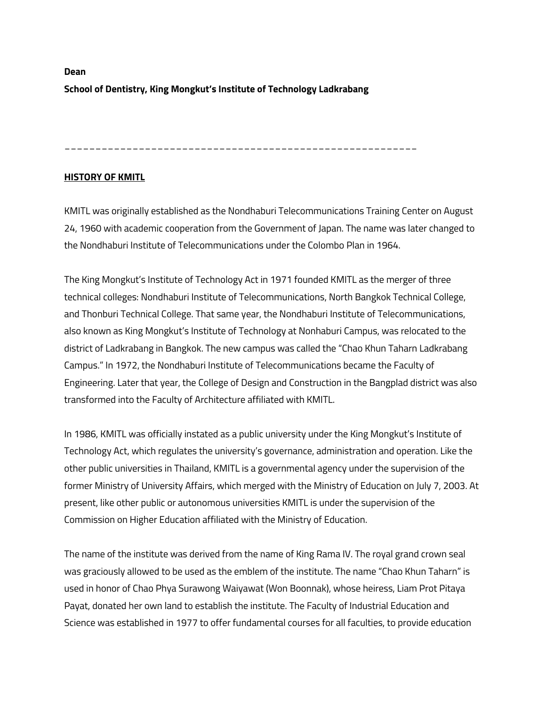# **Dean School of Dentistry, King Mongkut's Institute of Technology Ladkrabang**

\_\_\_\_\_\_\_\_\_\_\_\_\_\_\_\_\_\_\_\_\_\_\_\_\_\_\_\_\_\_\_\_\_\_\_\_\_\_\_\_\_\_\_\_\_\_\_\_\_\_\_\_\_\_\_\_\_

### **HISTORY OF KMITL**

KMITL was originally established as the Nondhaburi Telecommunications Training Center on August 24, 1960 with academic cooperation from the Government of Japan. The name was later changed to the Nondhaburi Institute of Telecommunications under the Colombo Plan in 1964.

The King Mongkut's Institute of Technology Act in 1971 founded KMITL as the merger of three technical colleges: Nondhaburi Institute of Telecommunications, North Bangkok Technical College, and Thonburi Technical College. That same year, the Nondhaburi Institute of Telecommunications, also known as King Mongkut's Institute of Technology at Nonhaburi Campus, was relocated to the district of Ladkrabang in Bangkok. The new campus was called the "Chao Khun Taharn Ladkrabang Campus." In 1972, the Nondhaburi Institute of Telecommunications became the Faculty of Engineering. Later that year, the College of Design and Construction in the Bangplad district was also transformed into the Faculty of Architecture affiliated with KMITL.

In 1986, KMITL was officially instated as a public university under the King Mongkut's Institute of Technology Act, which regulates the university's governance, administration and operation. Like the other public universities in Thailand, KMITL is a governmental agency under the supervision of the former Ministry of University Affairs, which merged with the Ministry of Education on July 7, 2003. At present, like other public or autonomous universities KMITL is under the supervision of the Commission on Higher Education affiliated with the Ministry of Education.

The name of the institute was derived from the name of King Rama IV. The royal grand crown seal was graciously allowed to be used as the emblem of the institute. The name "Chao Khun Taharn" is used in honor of Chao Phya Surawong Waiyawat (Won Boonnak), whose heiress, Liam Prot Pitaya Payat, donated her own land to establish the institute. The Faculty of Industrial Education and Science was established in 1977 to offer fundamental courses for all faculties, to provide education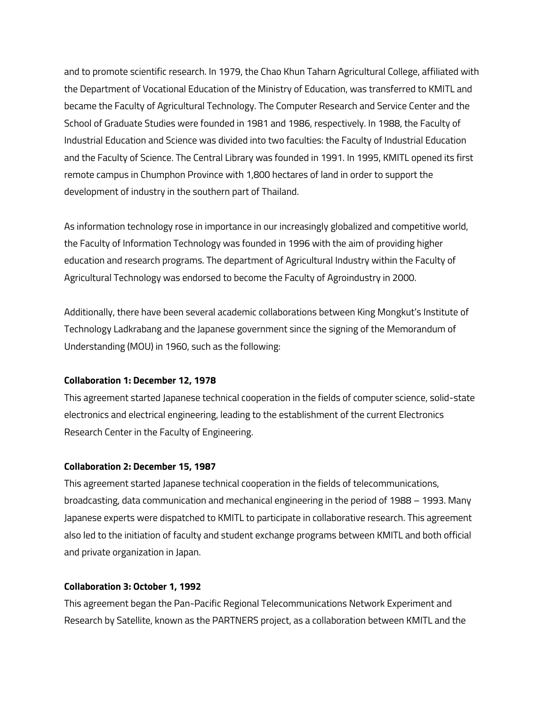and to promote scientific research. In 1979, the Chao Khun Taharn Agricultural College, affiliated with the Department of Vocational Education of the Ministry of Education, was transferred to KMITL and became the Faculty of Agricultural Technology. The Computer Research and Service Center and the School of Graduate Studies were founded in 1981 and 1986, respectively. In 1988, the Faculty of Industrial Education and Science was divided into two faculties: the Faculty of Industrial Education and the Faculty of Science. The Central Library was founded in 1991. In 1995, KMITL opened its first remote campus in Chumphon Province with 1,800 hectares of land in order to support the development of industry in the southern part of Thailand.

As information technology rose in importance in our increasingly globalized and competitive world, the Faculty of Information Technology was founded in 1996 with the aim of providing higher education and research programs. The department of Agricultural Industry within the Faculty of Agricultural Technology was endorsed to become the Faculty of Agroindustry in 2000.

Additionally, there have been several academic collaborations between King Mongkut's Institute of Technology Ladkrabang and the Japanese government since the signing of the Memorandum of Understanding (MOU) in 1960, such as the following:

#### **Collaboration 1: December 12, 1978**

This agreement started Japanese technical cooperation in the fields of computer science, solid-state electronics and electrical engineering, leading to the establishment of the current Electronics Research Center in the Faculty of Engineering.

### **Collaboration 2: December 15, 1987**

This agreement started Japanese technical cooperation in the fields of telecommunications, broadcasting, data communication and mechanical engineering in the period of 1988 – 1993. Many Japanese experts were dispatched to KMITL to participate in collaborative research. This agreement also led to the initiation of faculty and student exchange programs between KMITL and both official and private organization in Japan.

#### **Collaboration 3: October 1, 1992**

This agreement began the Pan-Pacific Regional Telecommunications Network Experiment and Research by Satellite, known as the PARTNERS project, as a collaboration between KMITL and the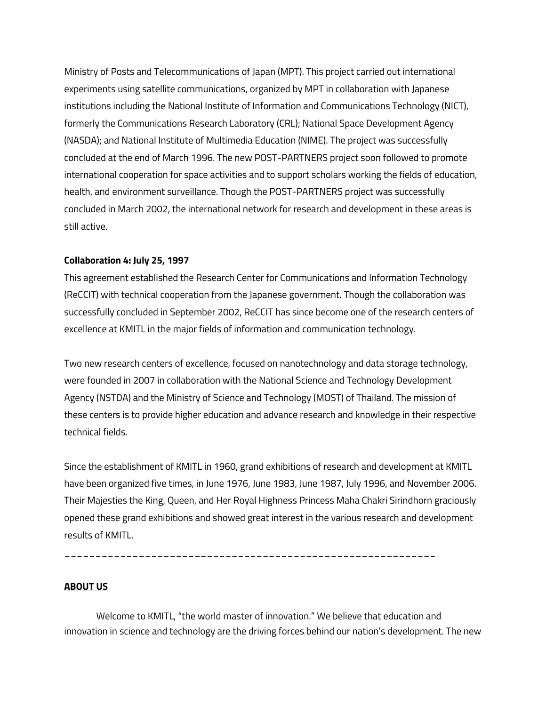Ministry of Posts and Telecommunications of Japan (MPT). This project carried out international experiments using satellite communications, organized by MPT in collaboration with Japanese institutions including the National Institute of Information and Communications Technology (NICT), formerly the Communications Research Laboratory (CRL); National Space Development Agency (NASDA); and National Institute of Multimedia Education (NIME). The project was successfully concluded at the end of March 1996. The new POST-PARTNERS project soon followed to promote international cooperation for space activities and to support scholars working the fields of education, health, and environment surveillance. Though the POST-PARTNERS project was successfully concluded in March 2002, the international network for research and development in these areas is still active.

#### **Collaboration 4: July 25, 1997**

This agreement established the Research Center for Communications and Information Technology (ReCCIT) with technical cooperation from the Japanese government. Though the collaboration was successfully concluded in September 2002, ReCCIT has since become one of the research centers of excellence at KMITL in the major fields of information and communication technology.

Two new research centers of excellence, focused on nanotechnology and data storage technology, were founded in 2007 in collaboration with the National Science and Technology Development Agency (NSTDA) and the Ministry of Science and Technology (MOST) of Thailand. The mission of these centers is to provide higher education and advance research and knowledge in their respective technical fields.

Since the establishment of KMITL in 1960, grand exhibitions of research and development at KMITL have been organized five times, in June 1976, June 1983, June 1987, July 1996, and November 2006. Their Majesties the King, Queen, and Her Royal Highness Princess Maha Chakri Sirindhorn graciously opened these grand exhibitions and showed great interest in the various research and development results of KMITL.

\_\_\_\_\_\_\_\_\_\_\_\_\_\_\_\_\_\_\_\_\_\_\_\_\_\_\_\_\_\_\_\_\_\_\_\_\_\_\_\_\_\_\_\_\_\_\_\_\_\_\_\_\_\_\_\_\_\_\_\_

#### **ABOUT US**

Welcome to KMITL, "the world master of innovation." We believe that education and innovation in science and technology are the driving forces behind our nation's development. The new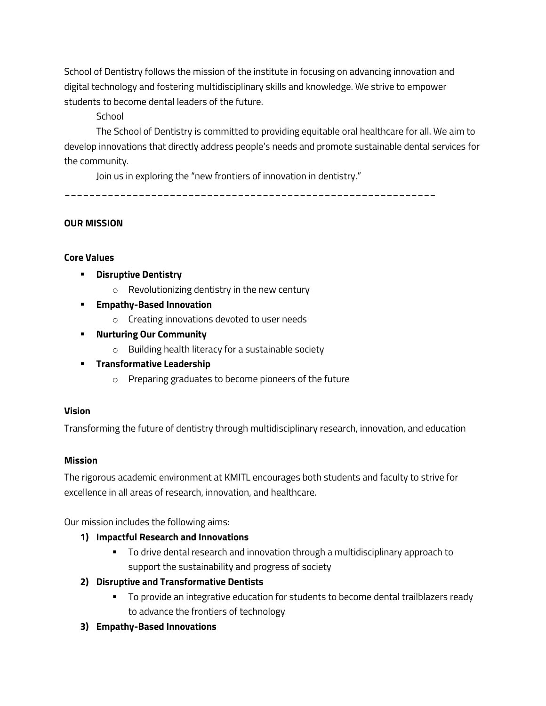School of Dentistry follows the mission of the institute in focusing on advancing innovation and digital technology and fostering multidisciplinary skills and knowledge. We strive to empower students to become dental leaders of the future.

**School** 

The School of Dentistry is committed to providing equitable oral healthcare for all. We aim to develop innovations that directly address people's needs and promote sustainable dental services for the community.

Join us in exploring the "new frontiers of innovation in dentistry."

\_\_\_\_\_\_\_\_\_\_\_\_\_\_\_\_\_\_\_\_\_\_\_\_\_\_\_\_\_\_\_\_\_\_\_\_\_\_\_\_\_\_\_\_\_\_\_\_\_\_\_\_\_\_\_\_\_\_\_\_

### **OUR MISSION**

### **Core Values**

- § **Disruptive Dentistry**
	- o Revolutionizing dentistry in the new century
- § **Empathy-Based Innovation**
	- o Creating innovations devoted to user needs
- § **Nurturing Our Community**
	- o Building health literacy for a sustainable society
- § **Transformative Leadership**
	- o Preparing graduates to become pioneers of the future

### **Vision**

Transforming the future of dentistry through multidisciplinary research, innovation, and education

### **Mission**

The rigorous academic environment at KMITL encourages both students and faculty to strive for excellence in all areas of research, innovation, and healthcare.

Our mission includes the following aims:

- **1) Impactful Research and Innovations**
	- § To drive dental research and innovation through a multidisciplinary approach to support the sustainability and progress of society
- **2) Disruptive and Transformative Dentists**
	- **•** To provide an integrative education for students to become dental trailblazers ready to advance the frontiers of technology
- **3) Empathy-Based Innovations**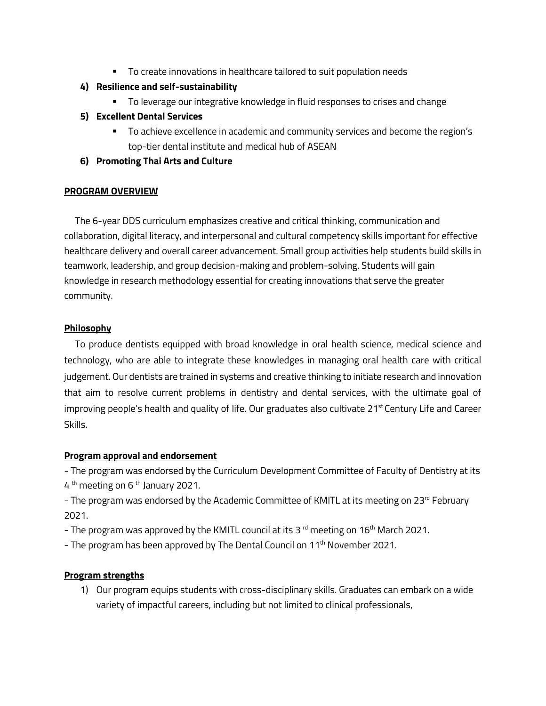■ To create innovations in healthcare tailored to suit population needs

# **4) Resilience and self-sustainability**

- § To leverage our integrative knowledge in fluid responses to crises and change
- **5) Excellent Dental Services**
	- § To achieve excellence in academic and community services and become the region's top-tier dental institute and medical hub of ASEAN
- **6) Promoting Thai Arts and Culture**

### **PROGRAM OVERVIEW**

 The 6-year DDS curriculum emphasizes creative and critical thinking, communication and collaboration, digital literacy, and interpersonal and cultural competency skills important for effective healthcare delivery and overall career advancement. Small group activities help students build skills in teamwork, leadership, and group decision-making and problem-solving. Students will gain knowledge in research methodology essential for creating innovations that serve the greater community.

## **Philosophy**

 To produce dentists equipped with broad knowledge in oral health science, medical science and technology, who are able to integrate these knowledges in managing oral health care with critical judgement. Our dentists are trained in systems and creative thinking to initiate research and innovation that aim to resolve current problems in dentistry and dental services, with the ultimate goal of improving people's health and quality of life. Our graduates also cultivate 21<sup>st</sup> Century Life and Career Skills.

### **Program approval and endorsement**

- The program was endorsed by the Curriculum Development Committee of Faculty of Dentistry at its  $4<sup>th</sup>$  meeting on 6<sup>th</sup> January 2021.

- The program was endorsed by the Academic Committee of KMITL at its meeting on 23<sup>rd</sup> February 2021.

- The program was approved by the KMITL council at its 3 $^{\text{rd}}$  meeting on 16<sup>th</sup> March 2021.
- The program has been approved by The Dental Council on 11<sup>th</sup> November 2021.

### **Program strengths**

1) Our program equips students with cross-disciplinary skills. Graduates can embark on a wide variety of impactful careers, including but not limited to clinical professionals,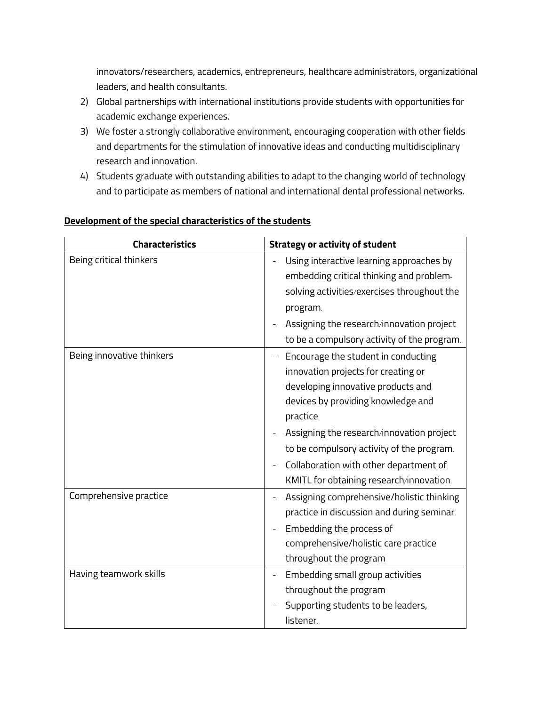innovators/researchers, academics, entrepreneurs, healthcare administrators, organizational leaders, and health consultants.

- 2) Global partnerships with international institutions provide students with opportunities for academic exchange experiences.
- 3) We foster a strongly collaborative environment, encouraging cooperation with other fields and departments for the stimulation of innovative ideas and conducting multidisciplinary research and innovation.
- 4) Students graduate with outstanding abilities to adapt to the changing world of technology and to participate as members of national and international dental professional networks.

| <b>Characteristics</b>    | <b>Strategy or activity of student</b>                                                                                                                                                                                                                                                                                                              |  |
|---------------------------|-----------------------------------------------------------------------------------------------------------------------------------------------------------------------------------------------------------------------------------------------------------------------------------------------------------------------------------------------------|--|
| Being critical thinkers   | Using interactive learning approaches by<br>embedding critical thinking and problem-<br>solving activities/exercises throughout the<br>program.<br>Assigning the research/innovation project<br>to be a compulsory activity of the program.                                                                                                         |  |
| Being innovative thinkers | Encourage the student in conducting<br>innovation projects for creating or<br>developing innovative products and<br>devices by providing knowledge and<br>practice.<br>Assigning the research/innovation project<br>to be compulsory activity of the program.<br>Collaboration with other department of<br>KMITL for obtaining research/innovation. |  |
| Comprehensive practice    | Assigning comprehensive/holistic thinking<br>practice in discussion and during seminar.<br>Embedding the process of<br>comprehensive/holistic care practice<br>throughout the program                                                                                                                                                               |  |
| Having teamwork skills    | Embedding small group activities<br>throughout the program<br>Supporting students to be leaders,<br>listener.                                                                                                                                                                                                                                       |  |

### **Development of the special characteristics of the students**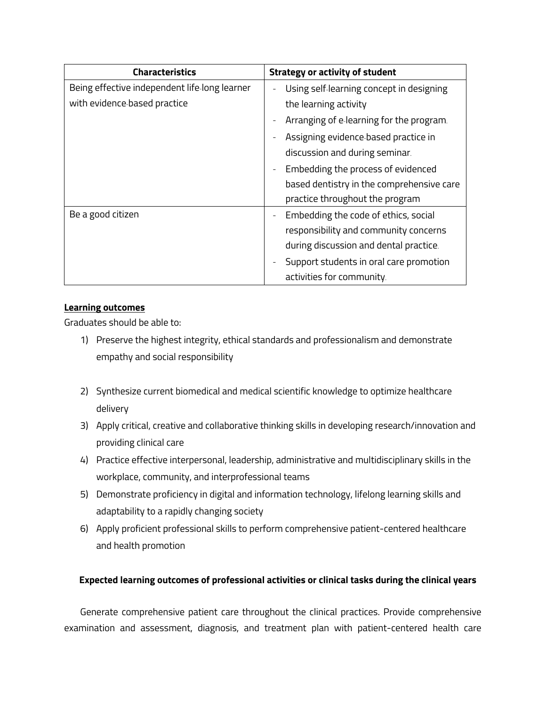| <b>Characteristics</b>                        | <b>Strategy or activity of student</b>    |
|-----------------------------------------------|-------------------------------------------|
| Being effective independent life-long learner | Using self-learning concept in designing  |
| with evidence-based practice                  | the learning activity                     |
|                                               | Arranging of e-learning for the program.  |
|                                               | Assigning evidence based practice in      |
|                                               | discussion and during seminar.            |
|                                               | Embedding the process of evidenced        |
|                                               | based dentistry in the comprehensive care |
|                                               | practice throughout the program           |
| Be a good citizen                             | Embedding the code of ethics, social      |
|                                               | responsibility and community concerns     |
|                                               | during discussion and dental practice.    |
|                                               | Support students in oral care promotion   |
|                                               | activities for community.                 |

## **Learning outcomes**

Graduates should be able to:

- 1) Preserve the highest integrity, ethical standards and professionalism and demonstrate empathy and social responsibility
- 2) Synthesize current biomedical and medical scientific knowledge to optimize healthcare delivery
- 3) Apply critical, creative and collaborative thinking skills in developing research/innovation and providing clinical care
- 4) Practice effective interpersonal, leadership, administrative and multidisciplinary skills in the workplace, community, and interprofessional teams
- 5) Demonstrate proficiency in digital and information technology, lifelong learning skills and adaptability to a rapidly changing society
- 6) Apply proficient professional skills to perform comprehensive patient-centered healthcare and health promotion

# **Expected learning outcomes of professional activities or clinical tasks during the clinical years**

Generate comprehensive patient care throughout the clinical practices. Provide comprehensive examination and assessment, diagnosis, and treatment plan with patient-centered health care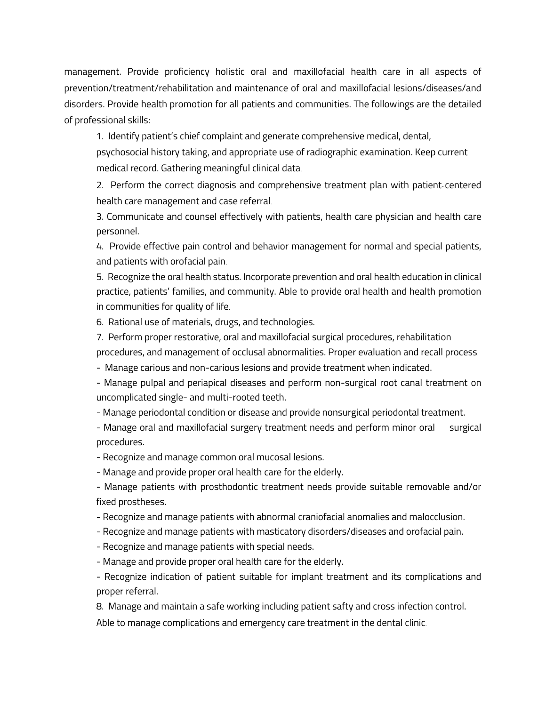management. Provide proficiency holistic oral and maxillofacial health care in all aspects of prevention/treatment/rehabilitation and maintenance of oral and maxillofacial lesions/diseases/and disorders. Provide health promotion for all patients and communities. The followings are the detailed of professional skills:

1. Identify patient's chief complaint and generate comprehensive medical, dental,

psychosocial history taking, and appropriate use of radiographic examination. Keep current medical record. Gathering meaningful clinical data.

2. Perform the correct diagnosis and comprehensive treatment plan with patient- centered health care management and case referral.

3. Communicate and counsel effectively with patients, health care physician and health care personnel.

4. Provide effective pain control and behavior management for normal and special patients, and patients with orofacial pain.

5. Recognize the oral health status. Incorporate prevention and oral health education in clinical practice, patients' families, and community. Able to provide oral health and health promotion in communities for quality of life.

6. Rational use of materials, drugs, and technologies.

7. Perform proper restorative, oral and maxillofacial surgical procedures, rehabilitation

procedures, and management of occlusal abnormalities. Proper evaluation and recall process.

- Manage carious and non-carious lesions and provide treatment when indicated.

- Manage pulpal and periapical diseases and perform non-surgical root canal treatment on uncomplicated single- and multi-rooted teeth.

- Manage periodontal condition or disease and provide nonsurgical periodontal treatment.

- Manage oral and maxillofacial surgery treatment needs and perform minor oral surgical procedures.

- Recognize and manage common oral mucosal lesions.

- Manage and provide proper oral health care for the elderly.

- Manage patients with prosthodontic treatment needs provide suitable removable and/or fixed prostheses.

- Recognize and manage patients with abnormal craniofacial anomalies and malocclusion.

- Recognize and manage patients with masticatory disorders/diseases and orofacial pain.

- Recognize and manage patients with special needs.

- Manage and provide proper oral health care for the elderly.

- Recognize indication of patient suitable for implant treatment and its complications and proper referral.

8. Manage and maintain a safe working including patient safty and cross infection control.

Able to manage complications and emergency care treatment in the dental clinic.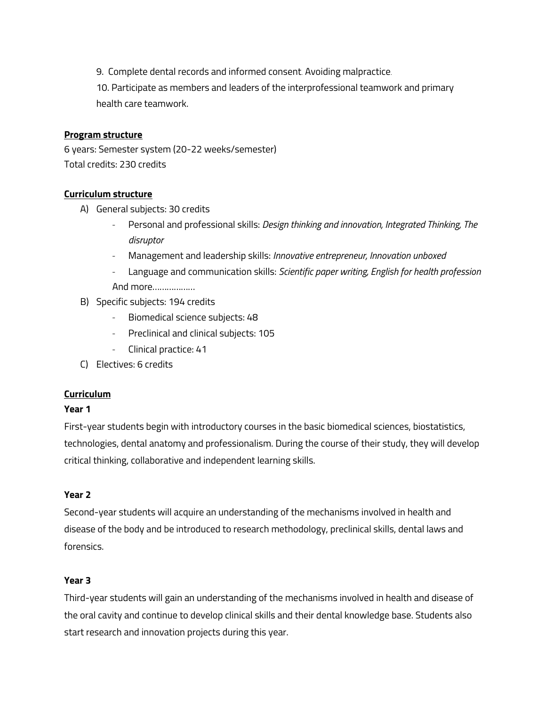9. Complete dental records and informed consent. Avoiding malpractice.

10. Participate as members and leaders of the interprofessional teamwork and primary health care teamwork.

## **Program structure**

6 years: Semester system (20-22 weeks/semester) Total credits: 230 credits

## **Curriculum structure**

- A) General subjects: 30 credits
	- Personal and professional skills: *Design thinking and innovation, Integrated Thinking, The disruptor*
	- Management and leadership skills: *Innovative entrepreneur, Innovation unboxed*
	- Language and communication skills: *Scientific paper writing, English for health profession* And more………………
- B) Specific subjects: 194 credits
	- Biomedical science subjects: 48
	- Preclinical and clinical subjects: 105
	- Clinical practice: 41
- C) Electives: 6 credits

# **Curriculum**

## **Year 1**

First-year students begin with introductory courses in the basic biomedical sciences, biostatistics, technologies, dental anatomy and professionalism. During the course of their study, they will develop critical thinking, collaborative and independent learning skills.

### **Year 2**

Second-year students will acquire an understanding of the mechanisms involved in health and disease of the body and be introduced to research methodology, preclinical skills, dental laws and forensics.

### **Year 3**

Third-year students will gain an understanding of the mechanisms involved in health and disease of the oral cavity and continue to develop clinical skills and their dental knowledge base. Students also start research and innovation projects during this year.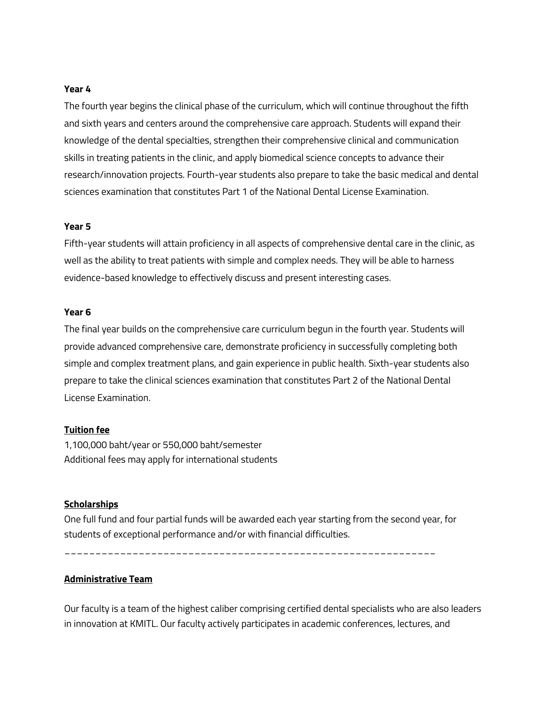#### **Year 4**

The fourth year begins the clinical phase of the curriculum, which will continue throughout the fifth and sixth years and centers around the comprehensive care approach. Students will expand their knowledge of the dental specialties, strengthen their comprehensive clinical and communication skills in treating patients in the clinic, and apply biomedical science concepts to advance their research/innovation projects. Fourth-year students also prepare to take the basic medical and dental sciences examination that constitutes Part 1 of the National Dental License Examination.

### **Year 5**

Fifth-year students will attain proficiency in all aspects of comprehensive dental care in the clinic, as well as the ability to treat patients with simple and complex needs. They will be able to harness evidence-based knowledge to effectively discuss and present interesting cases.

#### **Year 6**

The final year builds on the comprehensive care curriculum begun in the fourth year. Students will provide advanced comprehensive care, demonstrate proficiency in successfully completing both simple and complex treatment plans, and gain experience in public health. Sixth-year students also prepare to take the clinical sciences examination that constitutes Part 2 of the National Dental License Examination.

#### **Tuition fee**

1,100,000 baht/year or 550,000 baht/semester Additional fees may apply for international students

#### **Scholarships**

One full fund and four partial funds will be awarded each year starting from the second year, for students of exceptional performance and/or with financial difficulties.

\_\_\_\_\_\_\_\_\_\_\_\_\_\_\_\_\_\_\_\_\_\_\_\_\_\_\_\_\_\_\_\_\_\_\_\_\_\_\_\_\_\_\_\_\_\_\_\_\_\_\_\_\_\_\_\_\_\_\_\_

### **Administrative Team**

Our faculty is a team of the highest caliber comprising certified dental specialists who are also leaders in innovation at KMITL. Our faculty actively participates in academic conferences, lectures, and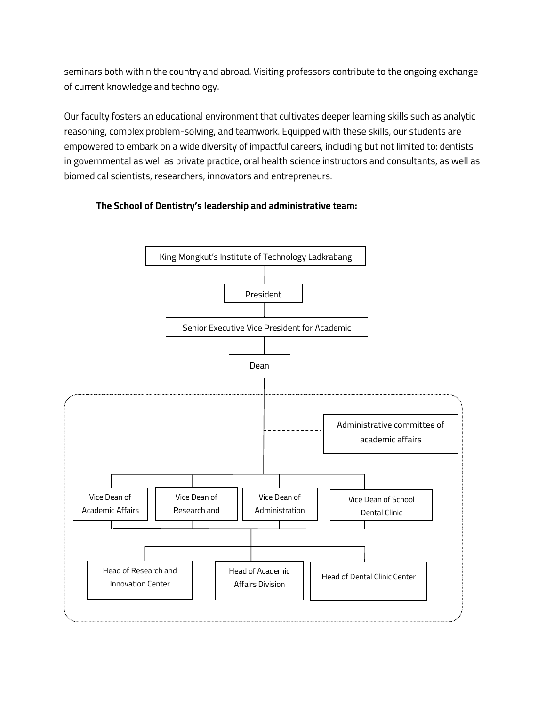seminars both within the country and abroad. Visiting professors contribute to the ongoing exchange of current knowledge and technology.

Our faculty fosters an educational environment that cultivates deeper learning skills such as analytic reasoning, complex problem-solving, and teamwork. Equipped with these skills, our students are empowered to embark on a wide diversity of impactful careers, including but not limited to: dentists in governmental as well as private practice, oral health science instructors and consultants, as well as biomedical scientists, researchers, innovators and entrepreneurs.



### **The School of Dentistry's leadership and administrative team:**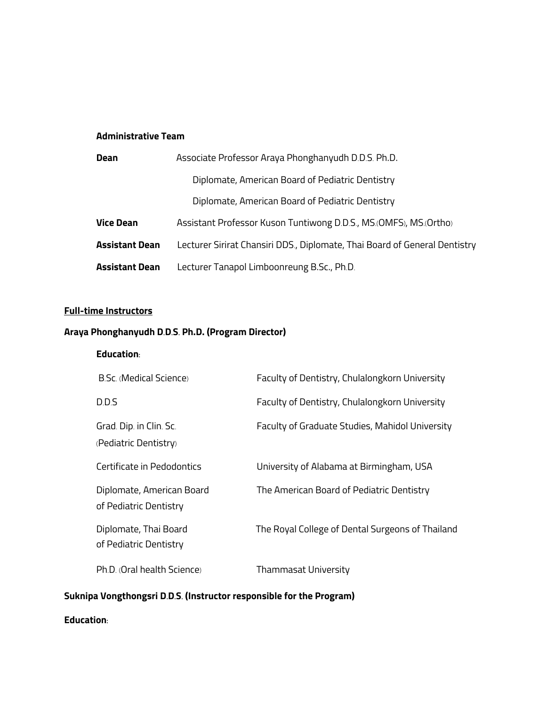### **Administrative Team**

| Dean                  | Associate Professor Araya Phonghanyudh D.D.S. Ph.D.                        |  |  |
|-----------------------|----------------------------------------------------------------------------|--|--|
|                       | Diplomate, American Board of Pediatric Dentistry                           |  |  |
|                       | Diplomate, American Board of Pediatric Dentistry                           |  |  |
| <b>Vice Dean</b>      | Assistant Professor Kuson Tuntiwong D.D.S., MS.(OMFS), MS.(Ortho)          |  |  |
| <b>Assistant Dean</b> | Lecturer Sirirat Chansiri DDS., Diplomate, Thai Board of General Dentistry |  |  |
| <b>Assistant Dean</b> | Lecturer Tanapol Limboonreung B.Sc., Ph.D.                                 |  |  |

# **Full-time Instructors**

# **Araya Phonghanyudh D.D.S. Ph.D. (Program Director)**

### **Education:**

| B.Sc. (Medical Science)                             | Faculty of Dentistry, Chulalongkorn University   |
|-----------------------------------------------------|--------------------------------------------------|
| D.D.S                                               | Faculty of Dentistry, Chulalongkorn University   |
| Grad. Dip. in Clin. Sc.<br>(Pediatric Dentistry)    | Faculty of Graduate Studies, Mahidol University  |
| Certificate in Pedodontics                          | University of Alabama at Birmingham, USA         |
| Diplomate, American Board<br>of Pediatric Dentistry | The American Board of Pediatric Dentistry        |
| Diplomate, Thai Board<br>of Pediatric Dentistry     | The Royal College of Dental Surgeons of Thailand |
| Ph.D. (Oral health Science)                         | <b>Thammasat University</b>                      |

# **Suknipa Vongthongsri D.D.S. (Instructor responsible for the Program)**

## **Education:**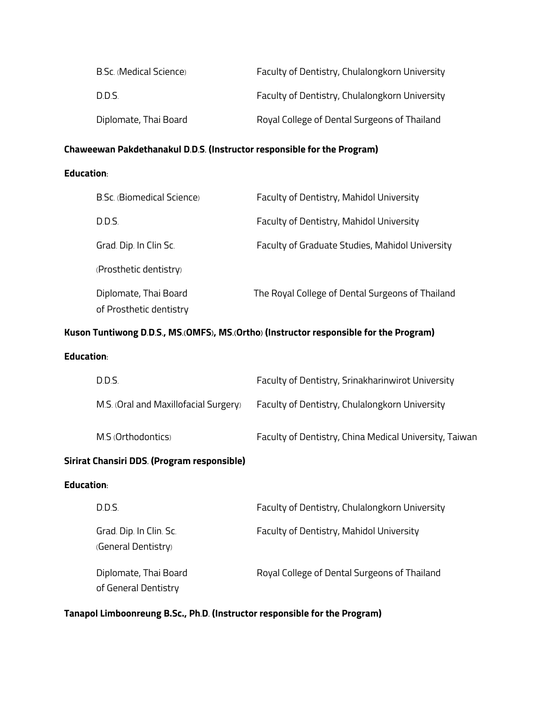| B.Sc. (Medical Science) | Faculty of Dentistry, Chulalongkorn University |
|-------------------------|------------------------------------------------|
| D.D.S.                  | Faculty of Dentistry, Chulalongkorn University |
| Diplomate, Thai Board   | Royal College of Dental Surgeons of Thailand   |

# **Chaweewan Pakdethanakul D.D.S. (Instructor responsible for the Program)**

# **Education:**

| B.Sc. (Biomedical Science) | Faculty of Dentistry, Mahidol University         |
|----------------------------|--------------------------------------------------|
| D.D.S.                     | <b>Faculty of Dentistry, Mahidol University</b>  |
| Grad. Dip. In Clin Sc.     | Faculty of Graduate Studies, Mahidol University  |
| (Prosthetic dentistry)     |                                                  |
| Diplomate, Thai Board      | The Royal College of Dental Surgeons of Thailand |
| of Prosthetic dentistry    |                                                  |

## **Kuson Tuntiwong D.D.S., MS.(OMFS), MS.(Ortho) (Instructor responsible for the Program)**

### **Education:**

|                                             | D.D.S.                                         | Faculty of Dentistry, Srinakharinwirot University      |  |
|---------------------------------------------|------------------------------------------------|--------------------------------------------------------|--|
|                                             | M.S. (Oral and Maxillofacial Surgery)          | Faculty of Dentistry, Chulalongkorn University         |  |
|                                             | M.S (Orthodontics)                             | Faculty of Dentistry, China Medical University, Taiwan |  |
| Sirirat Chansiri DDS. (Program responsible) |                                                |                                                        |  |
| <b>Education:</b>                           |                                                |                                                        |  |
|                                             | DD S                                           | Faculty of Dentistry, Chulalongkorn University         |  |
|                                             | Grad. Dip. In Clin. Sc.<br>(General Dentistry) | <b>Faculty of Dentistry, Mahidol University</b>        |  |

Diplomate, Thai Board **Royal College of Dental Surgeons of Thailand** 

of General Dentistry

**Tanapol Limboonreung B.Sc., Ph.D. (Instructor responsible for the Program)**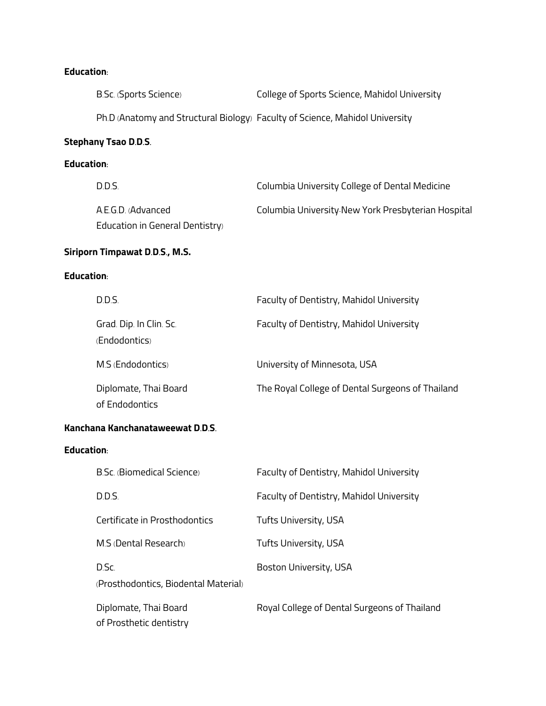# **Education:**

|                   | B.Sc. (Sports Science)                                | College of Sports Science, Mahidol University                                |  |
|-------------------|-------------------------------------------------------|------------------------------------------------------------------------------|--|
|                   |                                                       | Ph.D (Anatomy and Structural Biology) Faculty of Science, Mahidol University |  |
|                   | <b>Stephany Tsao D.D.S.</b>                           |                                                                              |  |
| <b>Education:</b> |                                                       |                                                                              |  |
|                   | D.D.S.                                                | Columbia University College of Dental Medicine                               |  |
|                   | A.E.G.D. (Advanced<br>Education in General Dentistry) | Columbia University-New York Presbyterian Hospital                           |  |
|                   | Siriporn Timpawat D.D.S., M.S.                        |                                                                              |  |
| <b>Education:</b> |                                                       |                                                                              |  |
|                   | D.D.S.                                                | Faculty of Dentistry, Mahidol University                                     |  |
|                   | Grad. Dip. In Clin. Sc.<br>(Endodontics)              | Faculty of Dentistry, Mahidol University                                     |  |
|                   | M.S (Endodontics)                                     | University of Minnesota, USA                                                 |  |
|                   | Diplomate, Thai Board<br>of Endodontics               | The Royal College of Dental Surgeons of Thailand                             |  |
|                   | Kanchana Kanchanataweewat D.D.S.                      |                                                                              |  |
| <b>Education:</b> |                                                       |                                                                              |  |
|                   | B.Sc. (Biomedical Science)                            | Faculty of Dentistry, Mahidol University                                     |  |
|                   | D.D.S.                                                | Faculty of Dentistry, Mahidol University                                     |  |
|                   | Certificate in Prosthodontics                         | Tufts University, USA                                                        |  |
|                   | M.S (Dental Research)                                 | Tufts University, USA                                                        |  |
|                   | D.Sc.<br>(Prosthodontics, Biodental Material)         | Boston University, USA                                                       |  |
|                   | Diplomate, Thai Board<br>of Prosthetic dentistry      | Royal College of Dental Surgeons of Thailand                                 |  |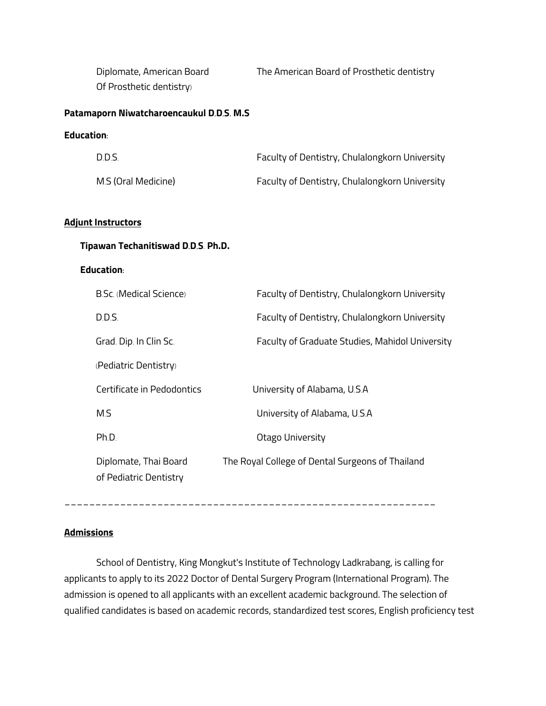| Diplomate, American Board<br>Of Prosthetic dentistry) | The American Board of Prosthetic dentistry       |
|-------------------------------------------------------|--------------------------------------------------|
| Patamaporn Niwatcharoencaukul D.D.S. M.S              |                                                  |
| Education:                                            |                                                  |
| D.D.S.                                                | Faculty of Dentistry, Chulalongkorn University   |
| M.S (Oral Medicine)                                   | Faculty of Dentistry, Chulalongkorn University   |
|                                                       |                                                  |
| <b>Adjunt Instructors</b>                             |                                                  |
| Tipawan Techanitiswad D.D.S. Ph.D.                    |                                                  |
| <b>Education:</b>                                     |                                                  |
| <b>B.Sc. (Medical Science)</b>                        | Faculty of Dentistry, Chulalongkorn University   |
| D.D.S.                                                | Faculty of Dentistry, Chulalongkorn University   |
| Grad. Dip. In Clin Sc.                                | Faculty of Graduate Studies, Mahidol University  |
| (Pediatric Dentistry)                                 |                                                  |
| Certificate in Pedodontics                            | University of Alabama, U.S.A                     |
| M.S                                                   | University of Alabama, U.S.A                     |
| Ph.D.                                                 | Otago University                                 |
| Diplomate, Thai Board<br>of Pediatric Dentistry       | The Royal College of Dental Surgeons of Thailand |

## **Admissions**

School of Dentistry, King Mongkut's Institute of Technology Ladkrabang, is calling for applicants to apply to its 2022 Doctor of Dental Surgery Program (International Program). The admission is opened to all applicants with an excellent academic background. The selection of qualified candidates is based on academic records, standardized test scores, English proficiency test

\_\_\_\_\_\_\_\_\_\_\_\_\_\_\_\_\_\_\_\_\_\_\_\_\_\_\_\_\_\_\_\_\_\_\_\_\_\_\_\_\_\_\_\_\_\_\_\_\_\_\_\_\_\_\_\_\_\_\_\_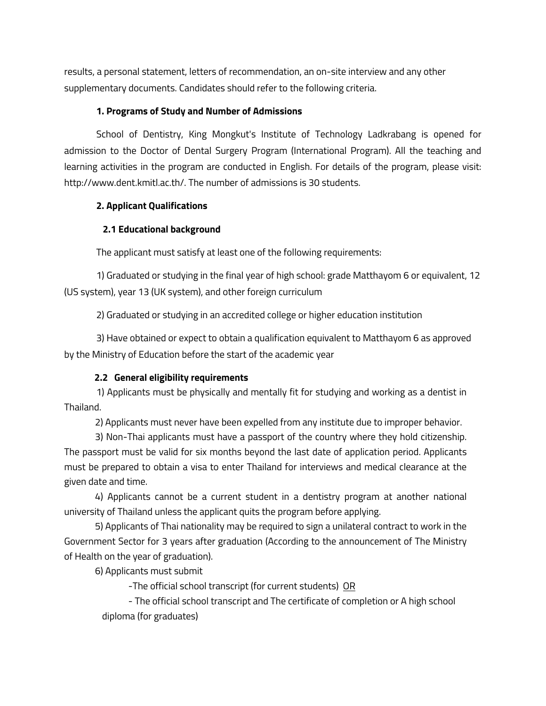results, a personal statement, letters of recommendation, an on-site interview and any other supplementary documents. Candidates should refer to the following criteria.

### **1. Programs of Study and Number of Admissions**

School of Dentistry, King Mongkut's Institute of Technology Ladkrabang is opened for admission to the Doctor of Dental Surgery Program (International Program). All the teaching and learning activities in the program are conducted in English. For details of the program, please visit: http://www.dent.kmitl.ac.th/. The number of admissions is 30 students.

### **2. Applicant Qualifications**

### **2.1 Educational background**

The applicant must satisfy at least one of the following requirements:

1) Graduated or studying in the final year of high school: grade Matthayom 6 or equivalent, 12 (US system), year 13 (UK system), and other foreign curriculum

2) Graduated or studying in an accredited college or higher education institution

3) Have obtained or expect to obtain a qualification equivalent to Matthayom 6 as approved by the Ministry of Education before the start of the academic year

### **2.2 General eligibility requirements**

1) Applicants must be physically and mentally fit for studying and working as a dentist in Thailand.

2) Applicants must never have been expelled from any institute due to improper behavior.

 3) Non-Thai applicants must have a passport of the country where they hold citizenship. The passport must be valid for six months beyond the last date of application period. Applicants must be prepared to obtain a visa to enter Thailand for interviews and medical clearance at the given date and time.

 4) Applicants cannot be a current student in a dentistry program at another national university of Thailand unless the applicant quits the program before applying.

 5) Applicants of Thai nationality may be required to sign a unilateral contract to work in the Government Sector for 3 years after graduation (According to the announcement of The Ministry of Health on the year of graduation).

6) Applicants must submit

-The official school transcript (for current students) OR

- The official school transcript and The certificate of completion or A high school diploma (for graduates)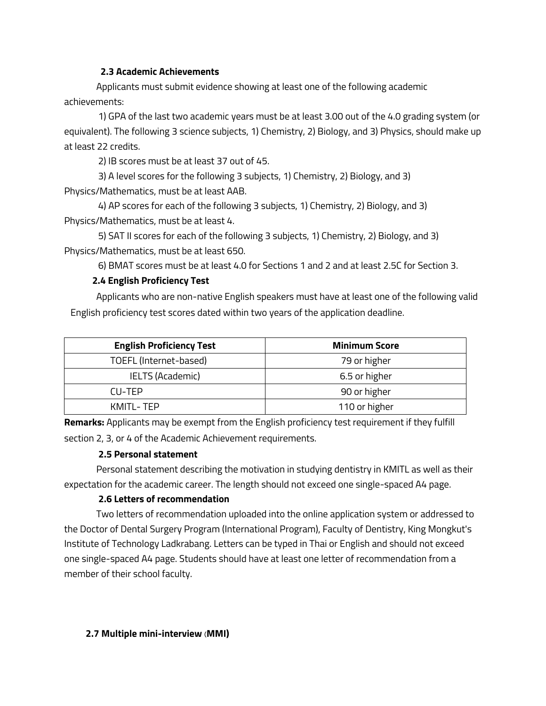### **2.3 Academic Achievements**

Applicants must submit evidence showing at least one of the following academic achievements:

 1) GPA of the last two academic years must be at least 3.00 out of the 4.0 grading system (or equivalent). The following 3 science subjects, 1) Chemistry, 2) Biology, and 3) Physics, should make up at least 22 credits.

2) IB scores must be at least 37 out of 45.

 3) A level scores for the following 3 subjects, 1) Chemistry, 2) Biology, and 3) Physics/Mathematics, must be at least AAB.

 4) AP scores for each of the following 3 subjects, 1) Chemistry, 2) Biology, and 3) Physics/Mathematics, must be at least 4.

 5) SAT II scores for each of the following 3 subjects, 1) Chemistry, 2) Biology, and 3) Physics/Mathematics, must be at least 650.

6) BMAT scores must be at least 4.0 for Sections 1 and 2 and at least 2.5C for Section 3.

### **2.4 English Proficiency Test**

Applicants who are non-native English speakers must have at least one of the following valid English proficiency test scores dated within two years of the application deadline.

| <b>English Proficiency Test</b>        | <b>Minimum Score</b> |  |
|----------------------------------------|----------------------|--|
| TOEFL (Internet-based)<br>79 or higher |                      |  |
| <b>IELTS (Academic)</b>                | 6.5 or higher        |  |
| CU-TFP                                 | 90 or higher         |  |
| KMITL - TFP                            | 110 or higher        |  |

**Remarks:** Applicants may be exempt from the English proficiency test requirement if they fulfill section 2, 3, or 4 of the Academic Achievement requirements.

### **2.5 Personal statement**

Personal statement describing the motivation in studying dentistry in KMITL as well as their expectation for the academic career. The length should not exceed one single-spaced A4 page.

### **2.6 Letters of recommendation**

Two letters of recommendation uploaded into the online application system or addressed to the Doctor of Dental Surgery Program (International Program), Faculty of Dentistry, King Mongkut's Institute of Technology Ladkrabang. Letters can be typed in Thai or English and should not exceed one single-spaced A4 page. Students should have at least one letter of recommendation from a member of their school faculty.

### **2.7 Multiple mini-interview (MMI)**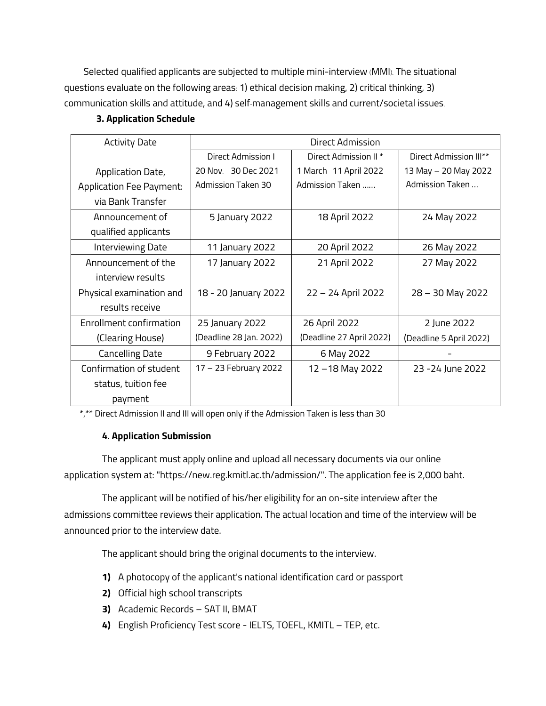Selected qualified applicants are subjected to multiple mini-interview (MMI). The situational questions evaluate on the following areas: 1) ethical decision making, 2) critical thinking, 3) communication skills and attitude, and 4) self-management skills and current/societal issues.

| <b>Activity Date</b>            | Direct Admission        |                                  |                                    |
|---------------------------------|-------------------------|----------------------------------|------------------------------------|
|                                 | Direct Admission I      | Direct Admission II <sup>*</sup> | Direct Admission III <sup>**</sup> |
| Application Date,               | 20 Nov. - 30 Dec 2021   | 1 March - 11 April 2022          | 13 May - 20 May 2022               |
| <b>Application Fee Payment:</b> | Admission Taken 30      | Admission Taken                  | Admission Taken                    |
| via Bank Transfer               |                         |                                  |                                    |
| Announcement of                 | 5 January 2022          | 18 April 2022                    | 24 May 2022                        |
| qualified applicants            |                         |                                  |                                    |
| Interviewing Date               | 11 January 2022         | 20 April 2022                    | 26 May 2022                        |
| Announcement of the             | 17 January 2022         | 21 April 2022                    | 27 May 2022                        |
| interview results               |                         |                                  |                                    |
| Physical examination and        | 18 - 20 January 2022    | 22 - 24 April 2022               | 28 - 30 May 2022                   |
| results receive                 |                         |                                  |                                    |
| Enrollment confirmation         | 25 January 2022         | 26 April 2022                    | 2 June 2022                        |
| (Clearing House)                | (Deadline 28 Jan. 2022) | (Deadline 27 April 2022)         | (Deadline 5 April 2022)            |
| <b>Cancelling Date</b>          | 9 February 2022         | 6 May 2022                       |                                    |
| Confirmation of student         | 17 - 23 February 2022   | 12-18 May 2022                   | 23 - 24 June 2022                  |
| status, tuition fee             |                         |                                  |                                    |
| payment                         |                         |                                  |                                    |

### **3. Application Schedule**

\*,\*\* Direct Admission II and III will open only if the Admission Taken is less than 30

### **4**. **Application Submission**

The applicant must apply online and upload all necessary documents via our online application system at: "https://new.reg.kmitl.ac.th/admission/". The application fee is 2,000 baht.

The applicant will be notified of his/her eligibility for an on-site interview after the admissions committee reviews their application. The actual location and time of the interview will be announced prior to the interview date.

The applicant should bring the original documents to the interview.

- **1)** A photocopy of the applicant's national identification card or passport
- **2)** Official high school transcripts
- **3)** Academic Records SAT II, BMAT
- **4)** English Proficiency Test score IELTS, TOEFL, KMITL TEP, etc.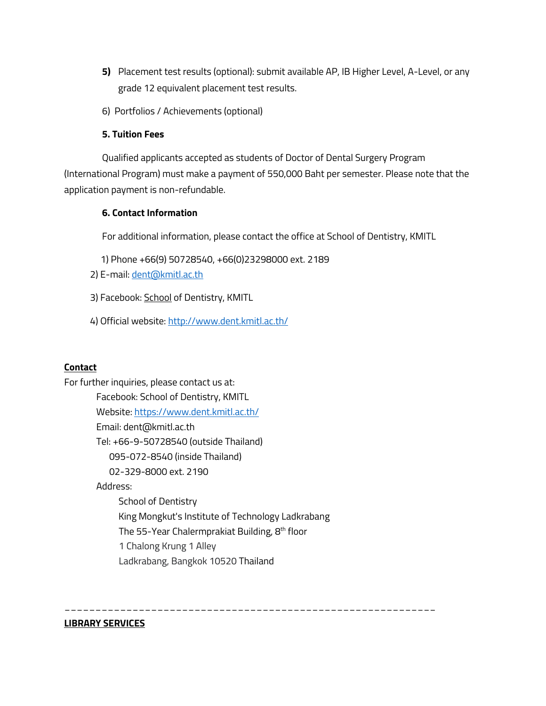- **5)** Placement test results (optional): submit available AP, IB Higher Level, A-Level, or any grade 12 equivalent placement test results.
- 6) Portfolios / Achievements (optional)

### **5. Tuition Fees**

Qualified applicants accepted as students of Doctor of Dental Surgery Program (International Program) must make a payment of 550,000 Baht per semester. Please note that the application payment is non-refundable.

### **6. Contact Information**

For additional information, please contact the office at School of Dentistry, KMITL

- 1) Phone +66(9) 50728540, +66(0)23298000 ext. 2189
- 2) E-mail: dent@kmitl.ac.th

3) Facebook: School of Dentistry, KMITL

4) Official website: http://www.dent.kmitl.ac.th/

### **Contact**

For further inquiries, please contact us at: Facebook: School of Dentistry, KMITL Website: https://www.dent.kmitl.ac.th/ Email: dent@kmitl.ac.th Tel: +66-9-50728540 (outside Thailand) 095-072-8540 (inside Thailand) 02-329-8000 ext. 2190 Address: School of Dentistry King Mongkut's Institute of Technology Ladkrabang The 55-Year Chalermprakiat Building, 8<sup>th</sup> floor 1 Chalong Krung 1 Alley Ladkrabang, Bangkok 10520 Thailand

\_\_\_\_\_\_\_\_\_\_\_\_\_\_\_\_\_\_\_\_\_\_\_\_\_\_\_\_\_\_\_\_\_\_\_\_\_\_\_\_\_\_\_\_\_\_\_\_\_\_\_\_\_\_\_\_\_\_\_\_

### **LIBRARY SERVICES**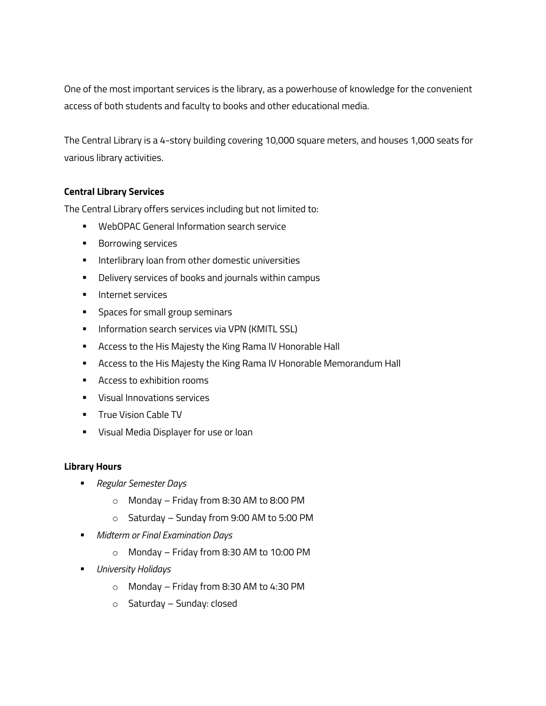One of the most important services is the library, as a powerhouse of knowledge for the convenient access of both students and faculty to books and other educational media.

The Central Library is a 4-story building covering 10,000 square meters, and houses 1,000 seats for various library activities.

### **Central Library Services**

The Central Library offers services including but not limited to:

- WebOPAC General Information search service
- Borrowing services
- **■** Interlibrary loan from other domestic universities
- **•** Delivery services of books and journals within campus
- § Internet services
- **•** Spaces for small group seminars
- **Information search services via VPN (KMITL SSL)**
- Access to the His Majesty the King Rama IV Honorable Hall
- **E** Access to the His Majesty the King Rama IV Honorable Memorandum Hall
- § Access to exhibition rooms
- § Visual Innovations services
- **True Vision Cable TV**
- **Visual Media Displayer for use or loan**

### **Library Hours**

- § *Regular Semester Days*
	- o Monday Friday from 8:30 AM to 8:00 PM
	- o Saturday Sunday from 9:00 AM to 5:00 PM
- § *Midterm or Final Examination Days*
	- o Monday Friday from 8:30 AM to 10:00 PM
- § *University Holidays*
	- o Monday Friday from 8:30 AM to 4:30 PM
	- o Saturday Sunday: closed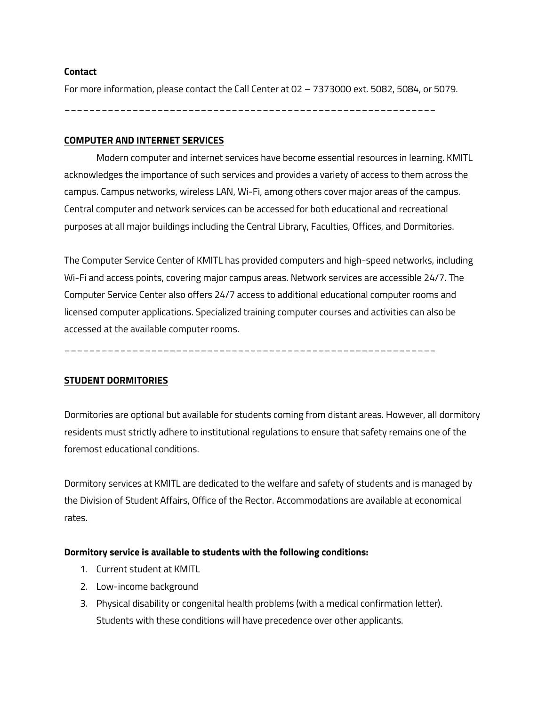### **Contact**

For more information, please contact the Call Center at 02 – 7373000 ext. 5082, 5084, or 5079.

\_\_\_\_\_\_\_\_\_\_\_\_\_\_\_\_\_\_\_\_\_\_\_\_\_\_\_\_\_\_\_\_\_\_\_\_\_\_\_\_\_\_\_\_\_\_\_\_\_\_\_\_\_\_\_\_\_\_\_\_

### **COMPUTER AND INTERNET SERVICES**

Modern computer and internet services have become essential resources in learning. KMITL acknowledges the importance of such services and provides a variety of access to them across the campus. Campus networks, wireless LAN, Wi-Fi, among others cover major areas of the campus. Central computer and network services can be accessed for both educational and recreational purposes at all major buildings including the Central Library, Faculties, Offices, and Dormitories.

The Computer Service Center of KMITL has provided computers and high-speed networks, including Wi-Fi and access points, covering major campus areas. Network services are accessible 24/7. The Computer Service Center also offers 24/7 access to additional educational computer rooms and licensed computer applications. Specialized training computer courses and activities can also be accessed at the available computer rooms.

\_\_\_\_\_\_\_\_\_\_\_\_\_\_\_\_\_\_\_\_\_\_\_\_\_\_\_\_\_\_\_\_\_\_\_\_\_\_\_\_\_\_\_\_\_\_\_\_\_\_\_\_\_\_\_\_\_\_\_\_

### **STUDENT DORMITORIES**

Dormitories are optional but available for students coming from distant areas. However, all dormitory residents must strictly adhere to institutional regulations to ensure that safety remains one of the foremost educational conditions.

Dormitory services at KMITL are dedicated to the welfare and safety of students and is managed by the Division of Student Affairs, Office of the Rector. Accommodations are available at economical rates.

### **Dormitory service is available to students with the following conditions:**

- 1. Current student at KMITL
- 2. Low-income background
- 3. Physical disability or congenital health problems (with a medical confirmation letter). Students with these conditions will have precedence over other applicants.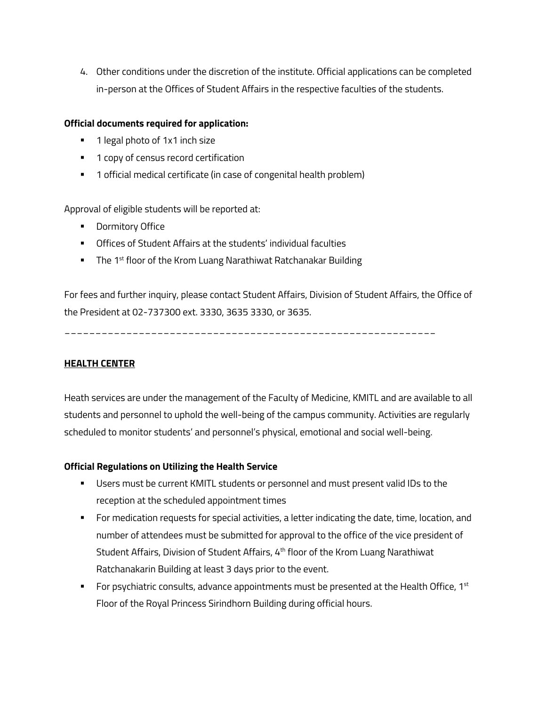4. Other conditions under the discretion of the institute. Official applications can be completed in-person at the Offices of Student Affairs in the respective faculties of the students.

### **Official documents required for application:**

- 1 legal photo of 1x1 inch size
- 1 copy of census record certification
- 1 official medical certificate (in case of congenital health problem)

Approval of eligible students will be reported at:

- Dormitory Office
- Offices of Student Affairs at the students' individual faculties
- The 1<sup>st</sup> floor of the Krom Luang Narathiwat Ratchanakar Building

For fees and further inquiry, please contact Student Affairs, Division of Student Affairs, the Office of the President at 02-737300 ext. 3330, 3635 3330, or 3635.

\_\_\_\_\_\_\_\_\_\_\_\_\_\_\_\_\_\_\_\_\_\_\_\_\_\_\_\_\_\_\_\_\_\_\_\_\_\_\_\_\_\_\_\_\_\_\_\_\_\_\_\_\_\_\_\_\_\_\_\_

### **HEALTH CENTER**

Heath services are under the management of the Faculty of Medicine, KMITL and are available to all students and personnel to uphold the well-being of the campus community. Activities are regularly scheduled to monitor students' and personnel's physical, emotional and social well-being.

### **Official Regulations on Utilizing the Health Service**

- **•** Users must be current KMITL students or personnel and must present valid IDs to the reception at the scheduled appointment times
- § For medication requests for special activities, a letter indicating the date, time, location, and number of attendees must be submitted for approval to the office of the vice president of Student Affairs, Division of Student Affairs, 4th floor of the Krom Luang Narathiwat Ratchanakarin Building at least 3 days prior to the event.
- For psychiatric consults, advance appointments must be presented at the Health Office,  $1^{st}$ Floor of the Royal Princess Sirindhorn Building during official hours.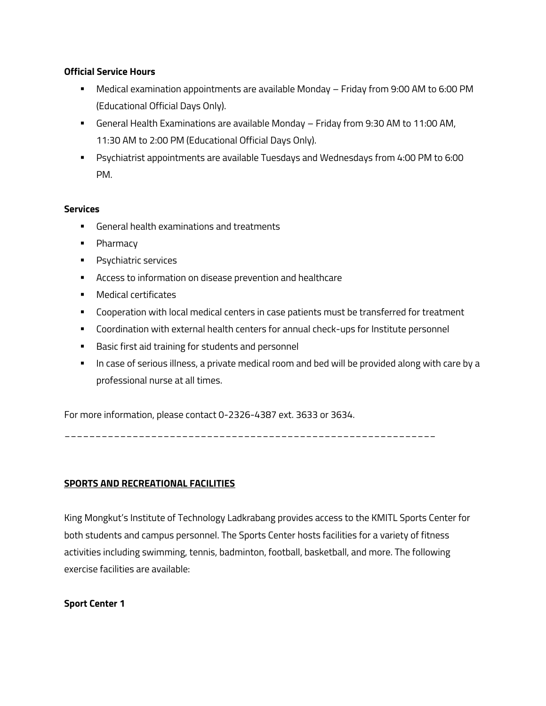### **Official Service Hours**

- § Medical examination appointments are available Monday Friday from 9:00 AM to 6:00 PM (Educational Official Days Only).
- § General Health Examinations are available Monday Friday from 9:30 AM to 11:00 AM, 11:30 AM to 2:00 PM (Educational Official Days Only).
- **•** Psychiatrist appointments are available Tuesdays and Wednesdays from 4:00 PM to 6:00 PM.

### **Services**

- § General health examinations and treatments
- Pharmacy
- § Psychiatric services
- Access to information on disease prevention and healthcare
- **•** Medical certificates
- Cooperation with local medical centers in case patients must be transferred for treatment
- § Coordination with external health centers for annual check-ups for Institute personnel
- Basic first aid training for students and personnel
- **In case of serious illness, a private medical room and bed will be provided along with care by a** professional nurse at all times.

For more information, please contact 0-2326-4387 ext. 3633 or 3634.

\_\_\_\_\_\_\_\_\_\_\_\_\_\_\_\_\_\_\_\_\_\_\_\_\_\_\_\_\_\_\_\_\_\_\_\_\_\_\_\_\_\_\_\_\_\_\_\_\_\_\_\_\_\_\_\_\_\_\_\_

### **SPORTS AND RECREATIONAL FACILITIES**

King Mongkut's Institute of Technology Ladkrabang provides access to the KMITL Sports Center for both students and campus personnel. The Sports Center hosts facilities for a variety of fitness activities including swimming, tennis, badminton, football, basketball, and more. The following exercise facilities are available:

### **Sport Center 1**